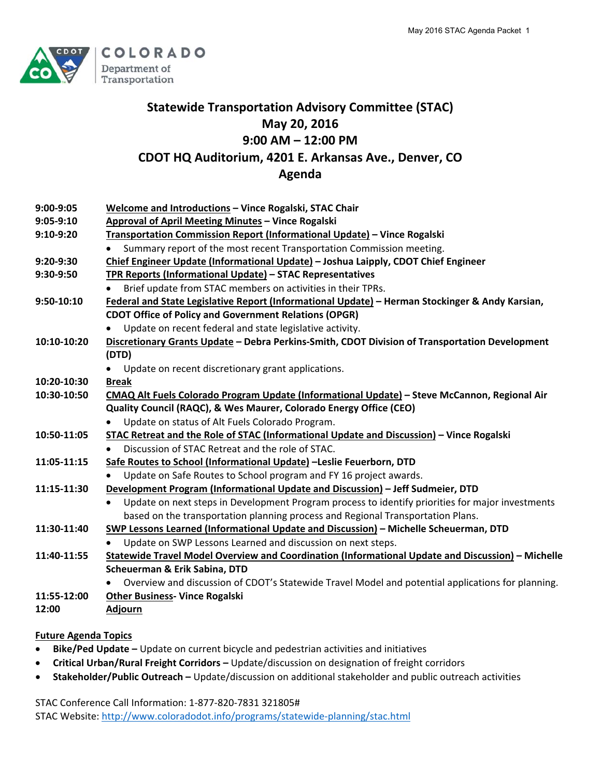

# **Statewide Transportation Advisory Committee (STAC) May 20, 2016 9:00 AM – 12:00 PM CDOT HQ Auditorium, 4201 E. Arkansas Ave., Denver, CO Agenda**

| 9:00-9:05   | Welcome and Introductions - Vince Rogalski, STAC Chair                                                        |
|-------------|---------------------------------------------------------------------------------------------------------------|
| $9:05-9:10$ | Approval of April Meeting Minutes - Vince Rogalski                                                            |
| 9:10-9:20   | Transportation Commission Report (Informational Update) - Vince Rogalski                                      |
|             | Summary report of the most recent Transportation Commission meeting.                                          |
| 9:20-9:30   | Chief Engineer Update (Informational Update) - Joshua Laipply, CDOT Chief Engineer                            |
| 9:30-9:50   | TPR Reports (Informational Update) - STAC Representatives                                                     |
|             | Brief update from STAC members on activities in their TPRs.                                                   |
| 9:50-10:10  | Federal and State Legislative Report (Informational Update) - Herman Stockinger & Andy Karsian,               |
|             | <b>CDOT Office of Policy and Government Relations (OPGR)</b>                                                  |
|             | Update on recent federal and state legislative activity.                                                      |
| 10:10-10:20 | Discretionary Grants Update - Debra Perkins-Smith, CDOT Division of Transportation Development                |
|             | (DTD)                                                                                                         |
|             | Update on recent discretionary grant applications.                                                            |
| 10:20-10:30 | <b>Break</b>                                                                                                  |
| 10:30-10:50 | CMAQ Alt Fuels Colorado Program Update (Informational Update) - Steve McCannon, Regional Air                  |
|             | Quality Council (RAQC), & Wes Maurer, Colorado Energy Office (CEO)                                            |
|             | Update on status of Alt Fuels Colorado Program.                                                               |
| 10:50-11:05 | STAC Retreat and the Role of STAC (Informational Update and Discussion) - Vince Rogalski                      |
|             | Discussion of STAC Retreat and the role of STAC.                                                              |
| 11:05-11:15 | Safe Routes to School (Informational Update) -Leslie Feuerborn, DTD                                           |
|             | Update on Safe Routes to School program and FY 16 project awards.                                             |
| 11:15-11:30 | Development Program (Informational Update and Discussion) - Jeff Sudmeier, DTD                                |
|             | Update on next steps in Development Program process to identify priorities for major investments<br>$\bullet$ |
|             | based on the transportation planning process and Regional Transportation Plans.                               |
| 11:30-11:40 | SWP Lessons Learned (Informational Update and Discussion) - Michelle Scheuerman, DTD                          |
|             | Update on SWP Lessons Learned and discussion on next steps.                                                   |
| 11:40-11:55 | Statewide Travel Model Overview and Coordination (Informational Update and Discussion) - Michelle             |
|             | Scheuerman & Erik Sabina, DTD                                                                                 |
|             | Overview and discussion of CDOT's Statewide Travel Model and potential applications for planning.             |
| 11:55-12:00 | <b>Other Business- Vince Rogalski</b>                                                                         |
| 12:00       | <b>Adjourn</b>                                                                                                |

## **Future Agenda Topics**

- **Bike/Ped Update –** Update on current bicycle and pedestrian activities and initiatives
- **Critical Urban/Rural Freight Corridors –** Update/discussion on designation of freight corridors
- **Stakeholder/Public Outreach –** Update/discussion on additional stakeholder and public outreach activities

STAC Conference Call Information: 1‐877‐820‐7831 321805# STAC Website: http://www.coloradodot.info/programs/statewide‐planning/stac.html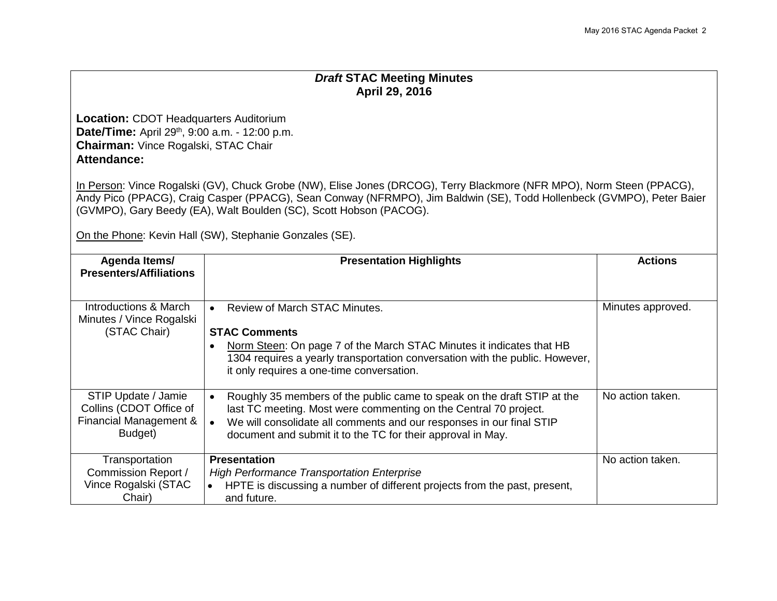## *Draft* **STAC Meeting Minutes April 29, 2016**

**Location:** CDOT Headquarters Auditorium **Date/Time:** April 29<sup>th</sup>, 9:00 a.m. - 12:00 p.m. **Chairman:** Vince Rogalski, STAC Chair **Attendance:**

In Person: Vince Rogalski (GV), Chuck Grobe (NW), Elise Jones (DRCOG), Terry Blackmore (NFR MPO), Norm Steen (PPACG), Andy Pico (PPACG), Craig Casper (PPACG), Sean Conway (NFRMPO), Jim Baldwin (SE), Todd Hollenbeck (GVMPO), Peter Baier (GVMPO), Gary Beedy (EA), Walt Boulden (SC), Scott Hobson (PACOG).

On the Phone: Kevin Hall (SW), Stephanie Gonzales (SE).

| Agenda Items/<br><b>Presenters/Affiliations</b>                                     | <b>Presentation Highlights</b>                                                                                                                                                                                                                                                                               | <b>Actions</b>    |  |  |
|-------------------------------------------------------------------------------------|--------------------------------------------------------------------------------------------------------------------------------------------------------------------------------------------------------------------------------------------------------------------------------------------------------------|-------------------|--|--|
| Introductions & March<br>Minutes / Vince Rogalski<br>(STAC Chair)                   | Review of March STAC Minutes.<br>$\bullet$<br><b>STAC Comments</b><br>Norm Steen: On page 7 of the March STAC Minutes it indicates that HB<br>$\bullet$<br>1304 requires a yearly transportation conversation with the public. However,<br>it only requires a one-time conversation.                         | Minutes approved. |  |  |
| STIP Update / Jamie<br>Collins (CDOT Office of<br>Financial Management &<br>Budget) | Roughly 35 members of the public came to speak on the draft STIP at the<br>$\bullet$<br>last TC meeting. Most were commenting on the Central 70 project.<br>We will consolidate all comments and our responses in our final STIP<br>$\bullet$<br>document and submit it to the TC for their approval in May. | No action taken.  |  |  |
| Transportation<br>Commission Report /<br>Vince Rogalski (STAC<br>Chair)             | <b>Presentation</b><br><b>High Performance Transportation Enterprise</b><br>HPTE is discussing a number of different projects from the past, present,<br>$\bullet$<br>and future.                                                                                                                            | No action taken.  |  |  |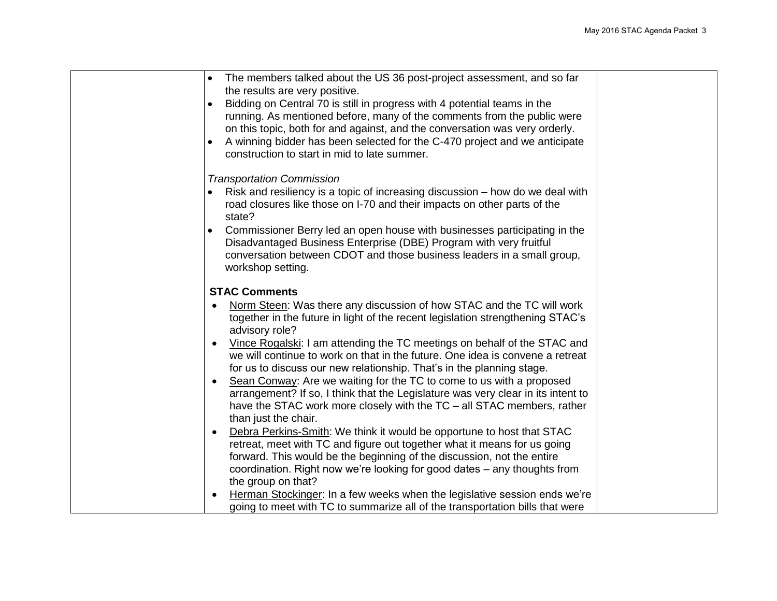| The members talked about the US 36 post-project assessment, and so far<br>$\bullet$ |  |
|-------------------------------------------------------------------------------------|--|
| the results are very positive.                                                      |  |
| Bidding on Central 70 is still in progress with 4 potential teams in the            |  |
| running. As mentioned before, many of the comments from the public were             |  |
|                                                                                     |  |
| on this topic, both for and against, and the conversation was very orderly.         |  |
| A winning bidder has been selected for the C-470 project and we anticipate          |  |
| construction to start in mid to late summer.                                        |  |
| <b>Transportation Commission</b>                                                    |  |
| Risk and resiliency is a topic of increasing discussion – how do we deal with       |  |
| road closures like those on I-70 and their impacts on other parts of the            |  |
| state?                                                                              |  |
| Commissioner Berry led an open house with businesses participating in the           |  |
| Disadvantaged Business Enterprise (DBE) Program with very fruitful                  |  |
| conversation between CDOT and those business leaders in a small group,              |  |
| workshop setting.                                                                   |  |
|                                                                                     |  |
| <b>STAC Comments</b>                                                                |  |
| Norm Steen: Was there any discussion of how STAC and the TC will work               |  |
| together in the future in light of the recent legislation strengthening STAC's      |  |
| advisory role?                                                                      |  |
| Vince Rogalski: I am attending the TC meetings on behalf of the STAC and            |  |
| we will continue to work on that in the future. One idea is convene a retreat       |  |
| for us to discuss our new relationship. That's in the planning stage.               |  |
| Sean Conway: Are we waiting for the TC to come to us with a proposed                |  |
| arrangement? If so, I think that the Legislature was very clear in its intent to    |  |
| have the STAC work more closely with the TC - all STAC members, rather              |  |
| than just the chair.                                                                |  |
| Debra Perkins-Smith: We think it would be opportune to host that STAC               |  |
| retreat, meet with TC and figure out together what it means for us going            |  |
| forward. This would be the beginning of the discussion, not the entire              |  |
| coordination. Right now we're looking for good dates – any thoughts from            |  |
| the group on that?                                                                  |  |
| Herman Stockinger: In a few weeks when the legislative session ends we're           |  |
| going to meet with TC to summarize all of the transportation bills that were        |  |
|                                                                                     |  |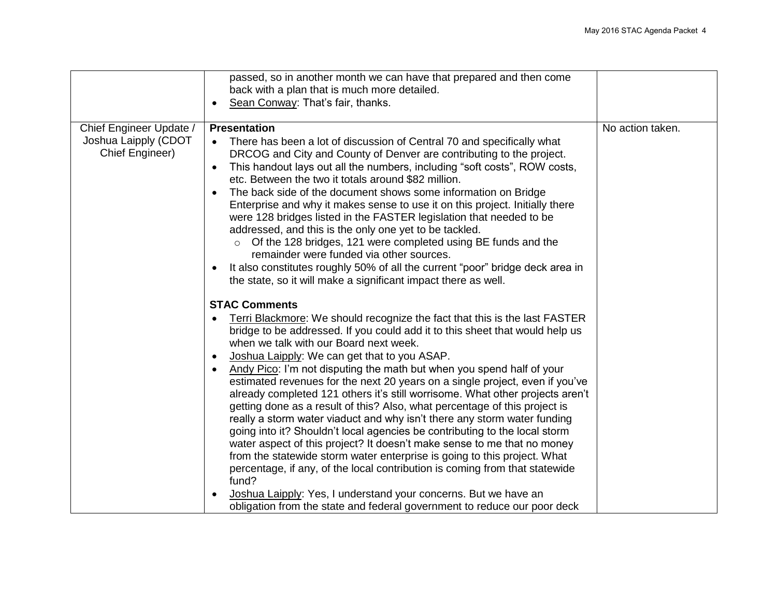|                                                                    | passed, so in another month we can have that prepared and then come<br>back with a plan that is much more detailed.                                                                                                                                                                                                                                                                                                                                                                                                                                                                                                                                                                                                                                                                                                                                                                                                                                                                                                                                                                           |                  |
|--------------------------------------------------------------------|-----------------------------------------------------------------------------------------------------------------------------------------------------------------------------------------------------------------------------------------------------------------------------------------------------------------------------------------------------------------------------------------------------------------------------------------------------------------------------------------------------------------------------------------------------------------------------------------------------------------------------------------------------------------------------------------------------------------------------------------------------------------------------------------------------------------------------------------------------------------------------------------------------------------------------------------------------------------------------------------------------------------------------------------------------------------------------------------------|------------------|
|                                                                    | Sean Conway: That's fair, thanks.                                                                                                                                                                                                                                                                                                                                                                                                                                                                                                                                                                                                                                                                                                                                                                                                                                                                                                                                                                                                                                                             |                  |
| Chief Engineer Update /<br>Joshua Laipply (CDOT<br>Chief Engineer) | <b>Presentation</b><br>There has been a lot of discussion of Central 70 and specifically what<br>DRCOG and City and County of Denver are contributing to the project.<br>This handout lays out all the numbers, including "soft costs", ROW costs,<br>$\bullet$<br>etc. Between the two it totals around \$82 million.<br>The back side of the document shows some information on Bridge<br>Enterprise and why it makes sense to use it on this project. Initially there<br>were 128 bridges listed in the FASTER legislation that needed to be<br>addressed, and this is the only one yet to be tackled.<br>Of the 128 bridges, 121 were completed using BE funds and the<br>remainder were funded via other sources.<br>It also constitutes roughly 50% of all the current "poor" bridge deck area in<br>$\bullet$<br>the state, so it will make a significant impact there as well.                                                                                                                                                                                                        | No action taken. |
|                                                                    | <b>STAC Comments</b><br>Terri Blackmore: We should recognize the fact that this is the last FASTER<br>bridge to be addressed. If you could add it to this sheet that would help us<br>when we talk with our Board next week.<br>Joshua Laipply: We can get that to you ASAP.<br>$\bullet$<br>Andy Pico: I'm not disputing the math but when you spend half of your<br>estimated revenues for the next 20 years on a single project, even if you've<br>already completed 121 others it's still worrisome. What other projects aren't<br>getting done as a result of this? Also, what percentage of this project is<br>really a storm water viaduct and why isn't there any storm water funding<br>going into it? Shouldn't local agencies be contributing to the local storm<br>water aspect of this project? It doesn't make sense to me that no money<br>from the statewide storm water enterprise is going to this project. What<br>percentage, if any, of the local contribution is coming from that statewide<br>fund?<br>Joshua Laipply: Yes, I understand your concerns. But we have an |                  |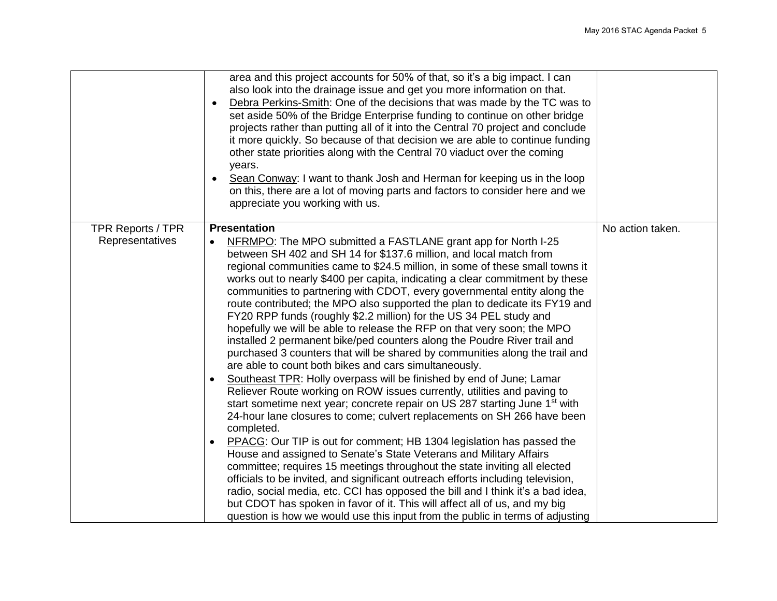|                   | area and this project accounts for 50% of that, so it's a big impact. I can<br>also look into the drainage issue and get you more information on that.<br>Debra Perkins-Smith: One of the decisions that was made by the TC was to<br>$\bullet$<br>set aside 50% of the Bridge Enterprise funding to continue on other bridge<br>projects rather than putting all of it into the Central 70 project and conclude<br>it more quickly. So because of that decision we are able to continue funding<br>other state priorities along with the Central 70 viaduct over the coming<br>years.<br>Sean Conway: I want to thank Josh and Herman for keeping us in the loop<br>$\bullet$<br>on this, there are a lot of moving parts and factors to consider here and we<br>appreciate you working with us.                                                                                                                                                                                                                                                                                                                                                                                                                                                                                                                                                                                                                                                                                                                                                                                                                                                                                                                                                                    |                  |
|-------------------|----------------------------------------------------------------------------------------------------------------------------------------------------------------------------------------------------------------------------------------------------------------------------------------------------------------------------------------------------------------------------------------------------------------------------------------------------------------------------------------------------------------------------------------------------------------------------------------------------------------------------------------------------------------------------------------------------------------------------------------------------------------------------------------------------------------------------------------------------------------------------------------------------------------------------------------------------------------------------------------------------------------------------------------------------------------------------------------------------------------------------------------------------------------------------------------------------------------------------------------------------------------------------------------------------------------------------------------------------------------------------------------------------------------------------------------------------------------------------------------------------------------------------------------------------------------------------------------------------------------------------------------------------------------------------------------------------------------------------------------------------------------------|------------------|
| TPR Reports / TPR | <b>Presentation</b>                                                                                                                                                                                                                                                                                                                                                                                                                                                                                                                                                                                                                                                                                                                                                                                                                                                                                                                                                                                                                                                                                                                                                                                                                                                                                                                                                                                                                                                                                                                                                                                                                                                                                                                                                  | No action taken. |
| Representatives   | NFRMPO: The MPO submitted a FASTLANE grant app for North I-25<br>$\bullet$<br>between SH 402 and SH 14 for \$137.6 million, and local match from<br>regional communities came to \$24.5 million, in some of these small towns it<br>works out to nearly \$400 per capita, indicating a clear commitment by these<br>communities to partnering with CDOT, every governmental entity along the<br>route contributed; the MPO also supported the plan to dedicate its FY19 and<br>FY20 RPP funds (roughly \$2.2 million) for the US 34 PEL study and<br>hopefully we will be able to release the RFP on that very soon; the MPO<br>installed 2 permanent bike/ped counters along the Poudre River trail and<br>purchased 3 counters that will be shared by communities along the trail and<br>are able to count both bikes and cars simultaneously.<br>Southeast TPR: Holly overpass will be finished by end of June; Lamar<br>Reliever Route working on ROW issues currently, utilities and paving to<br>start sometime next year; concrete repair on US 287 starting June 1 <sup>st</sup> with<br>24-hour lane closures to come; culvert replacements on SH 266 have been<br>completed.<br>PPACG: Our TIP is out for comment; HB 1304 legislation has passed the<br>$\bullet$<br>House and assigned to Senate's State Veterans and Military Affairs<br>committee; requires 15 meetings throughout the state inviting all elected<br>officials to be invited, and significant outreach efforts including television,<br>radio, social media, etc. CCI has opposed the bill and I think it's a bad idea,<br>but CDOT has spoken in favor of it. This will affect all of us, and my big<br>question is how we would use this input from the public in terms of adjusting |                  |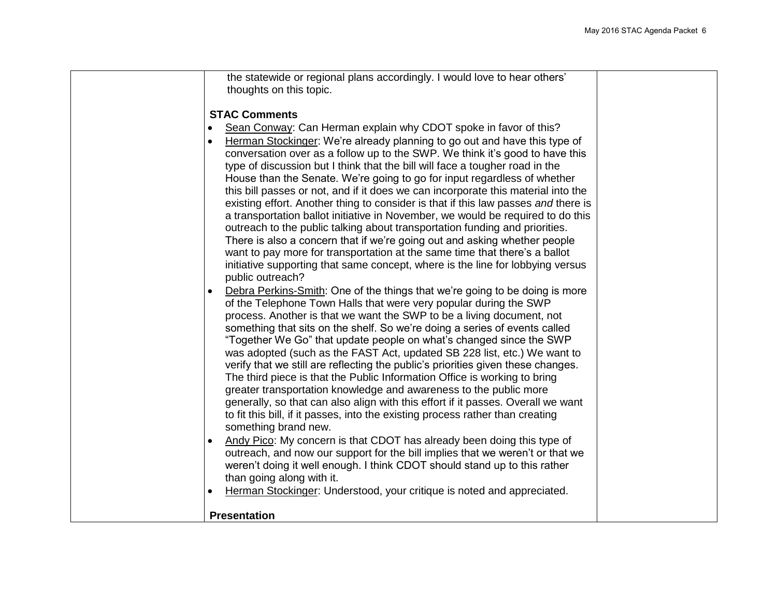| process. Another is that we want the SWP to be a living document, not<br>something that sits on the shelf. So we're doing a series of events called<br>"Together We Go" that update people on what's changed since the SWP<br>was adopted (such as the FAST Act, updated SB 228 list, etc.) We want to<br>verify that we still are reflecting the public's priorities given these changes.<br>The third piece is that the Public Information Office is working to bring<br>greater transportation knowledge and awareness to the public more<br>generally, so that can also align with this effort if it passes. Overall we want<br>to fit this bill, if it passes, into the existing process rather than creating<br>something brand new.<br>Andy Pico: My concern is that CDOT has already been doing this type of<br>outreach, and now our support for the bill implies that we weren't or that we<br>weren't doing it well enough. I think CDOT should stand up to this rather<br>than going along with it.<br>Herman Stockinger: Understood, your critique is noted and appreciated.                                                                                                                                                                                                   |  |
|---------------------------------------------------------------------------------------------------------------------------------------------------------------------------------------------------------------------------------------------------------------------------------------------------------------------------------------------------------------------------------------------------------------------------------------------------------------------------------------------------------------------------------------------------------------------------------------------------------------------------------------------------------------------------------------------------------------------------------------------------------------------------------------------------------------------------------------------------------------------------------------------------------------------------------------------------------------------------------------------------------------------------------------------------------------------------------------------------------------------------------------------------------------------------------------------------------------------------------------------------------------------------------------------|--|
| the statewide or regional plans accordingly. I would love to hear others'<br>thoughts on this topic.<br><b>STAC Comments</b><br>Sean Conway: Can Herman explain why CDOT spoke in favor of this?<br>Herman Stockinger: We're already planning to go out and have this type of<br>conversation over as a follow up to the SWP. We think it's good to have this<br>type of discussion but I think that the bill will face a tougher road in the<br>House than the Senate. We're going to go for input regardless of whether<br>this bill passes or not, and if it does we can incorporate this material into the<br>existing effort. Another thing to consider is that if this law passes and there is<br>a transportation ballot initiative in November, we would be required to do this<br>outreach to the public talking about transportation funding and priorities.<br>There is also a concern that if we're going out and asking whether people<br>want to pay more for transportation at the same time that there's a ballot<br>initiative supporting that same concept, where is the line for lobbying versus<br>public outreach?<br>Debra Perkins-Smith: One of the things that we're going to be doing is more<br>of the Telephone Town Halls that were very popular during the SWP |  |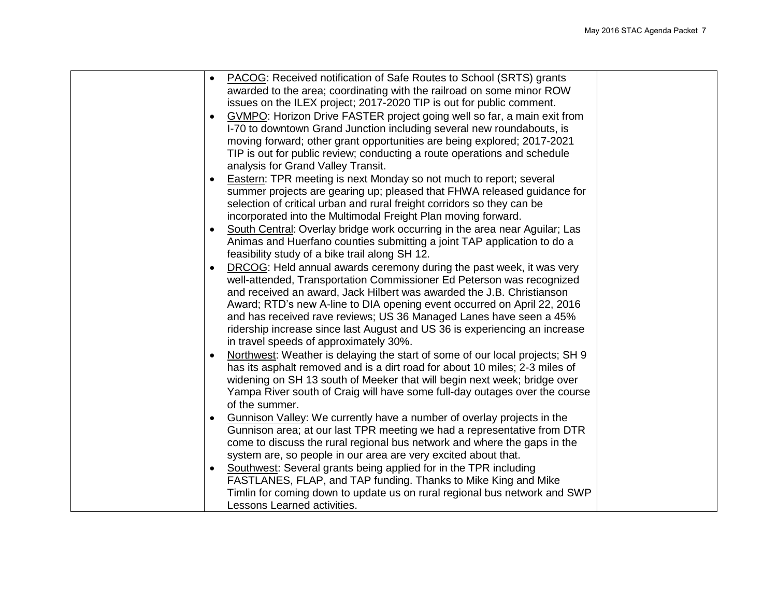| <b>PACOG:</b> Received notification of Safe Routes to School (SRTS) grants<br>$\bullet$   |  |
|-------------------------------------------------------------------------------------------|--|
| awarded to the area; coordinating with the railroad on some minor ROW                     |  |
| issues on the ILEX project; 2017-2020 TIP is out for public comment.                      |  |
| GVMPO: Horizon Drive FASTER project going well so far, a main exit from                   |  |
| I-70 to downtown Grand Junction including several new roundabouts, is                     |  |
| moving forward; other grant opportunities are being explored; 2017-2021                   |  |
| TIP is out for public review; conducting a route operations and schedule                  |  |
| analysis for Grand Valley Transit.                                                        |  |
| Eastern: TPR meeting is next Monday so not much to report; several                        |  |
| summer projects are gearing up; pleased that FHWA released guidance for                   |  |
| selection of critical urban and rural freight corridors so they can be                    |  |
| incorporated into the Multimodal Freight Plan moving forward.                             |  |
| South Central: Overlay bridge work occurring in the area near Aguilar; Las                |  |
| Animas and Huerfano counties submitting a joint TAP application to do a                   |  |
| feasibility study of a bike trail along SH 12.                                            |  |
| DRCOG: Held annual awards ceremony during the past week, it was very<br>$\bullet$         |  |
| well-attended, Transportation Commissioner Ed Peterson was recognized                     |  |
| and received an award, Jack Hilbert was awarded the J.B. Christianson                     |  |
| Award; RTD's new A-line to DIA opening event occurred on April 22, 2016                   |  |
| and has received rave reviews; US 36 Managed Lanes have seen a 45%                        |  |
| ridership increase since last August and US 36 is experiencing an increase                |  |
| in travel speeds of approximately 30%.                                                    |  |
| Northwest: Weather is delaying the start of some of our local projects; SH 9<br>$\bullet$ |  |
| has its asphalt removed and is a dirt road for about 10 miles; 2-3 miles of               |  |
| widening on SH 13 south of Meeker that will begin next week; bridge over                  |  |
| Yampa River south of Craig will have some full-day outages over the course                |  |
| of the summer.                                                                            |  |
| Gunnison Valley: We currently have a number of overlay projects in the                    |  |
| Gunnison area; at our last TPR meeting we had a representative from DTR                   |  |
| come to discuss the rural regional bus network and where the gaps in the                  |  |
| system are, so people in our area are very excited about that.                            |  |
| Southwest: Several grants being applied for in the TPR including<br>$\bullet$             |  |
| FASTLANES, FLAP, and TAP funding. Thanks to Mike King and Mike                            |  |
| Timlin for coming down to update us on rural regional bus network and SWP                 |  |
| Lessons Learned activities.                                                               |  |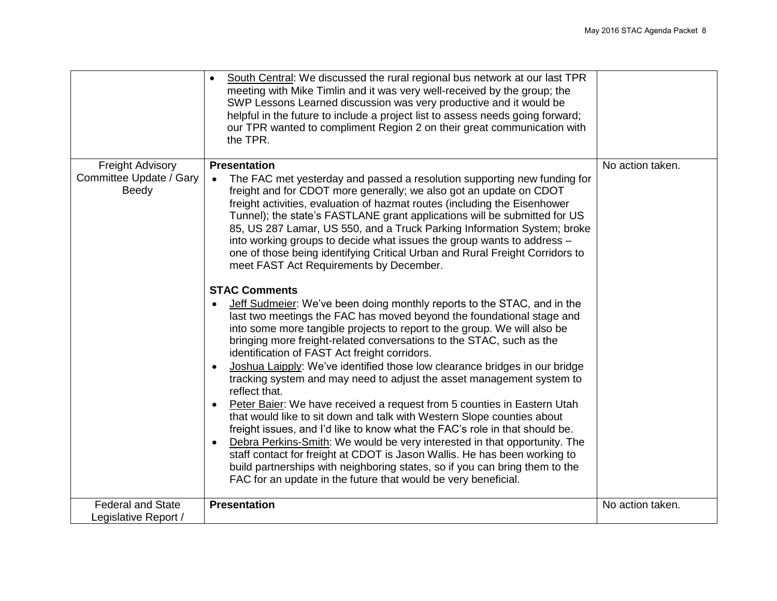|                                         | South Central: We discussed the rural regional bus network at our last TPR<br>$\bullet$<br>meeting with Mike Timlin and it was very well-received by the group; the<br>SWP Lessons Learned discussion was very productive and it would be<br>helpful in the future to include a project list to assess needs going forward;<br>our TPR wanted to compliment Region 2 on their great communication with<br>the TPR.                                                                                                                                                                                                                                                                                                                                                                                                                                                                                                                                                                                                                                                                                          |                  |
|-----------------------------------------|-------------------------------------------------------------------------------------------------------------------------------------------------------------------------------------------------------------------------------------------------------------------------------------------------------------------------------------------------------------------------------------------------------------------------------------------------------------------------------------------------------------------------------------------------------------------------------------------------------------------------------------------------------------------------------------------------------------------------------------------------------------------------------------------------------------------------------------------------------------------------------------------------------------------------------------------------------------------------------------------------------------------------------------------------------------------------------------------------------------|------------------|
| <b>Freight Advisory</b>                 | <b>Presentation</b>                                                                                                                                                                                                                                                                                                                                                                                                                                                                                                                                                                                                                                                                                                                                                                                                                                                                                                                                                                                                                                                                                         | No action taken. |
| Committee Update / Gary<br><b>Beedy</b> | The FAC met yesterday and passed a resolution supporting new funding for<br>freight and for CDOT more generally; we also got an update on CDOT<br>freight activities, evaluation of hazmat routes (including the Eisenhower<br>Tunnel); the state's FASTLANE grant applications will be submitted for US<br>85, US 287 Lamar, US 550, and a Truck Parking Information System; broke<br>into working groups to decide what issues the group wants to address -<br>one of those being identifying Critical Urban and Rural Freight Corridors to<br>meet FAST Act Requirements by December.                                                                                                                                                                                                                                                                                                                                                                                                                                                                                                                    |                  |
|                                         | <b>STAC Comments</b><br><b>Jeff Sudmeier:</b> We've been doing monthly reports to the STAC, and in the<br>last two meetings the FAC has moved beyond the foundational stage and<br>into some more tangible projects to report to the group. We will also be<br>bringing more freight-related conversations to the STAC, such as the<br>identification of FAST Act freight corridors.<br>Joshua Laipply: We've identified those low clearance bridges in our bridge<br>tracking system and may need to adjust the asset management system to<br>reflect that.<br>Peter Baier: We have received a request from 5 counties in Eastern Utah<br>that would like to sit down and talk with Western Slope counties about<br>freight issues, and I'd like to know what the FAC's role in that should be.<br>Debra Perkins-Smith: We would be very interested in that opportunity. The<br>staff contact for freight at CDOT is Jason Wallis. He has been working to<br>build partnerships with neighboring states, so if you can bring them to the<br>FAC for an update in the future that would be very beneficial. |                  |
| <b>Federal and State</b>                | <b>Presentation</b>                                                                                                                                                                                                                                                                                                                                                                                                                                                                                                                                                                                                                                                                                                                                                                                                                                                                                                                                                                                                                                                                                         | No action taken. |
| Legislative Report /                    |                                                                                                                                                                                                                                                                                                                                                                                                                                                                                                                                                                                                                                                                                                                                                                                                                                                                                                                                                                                                                                                                                                             |                  |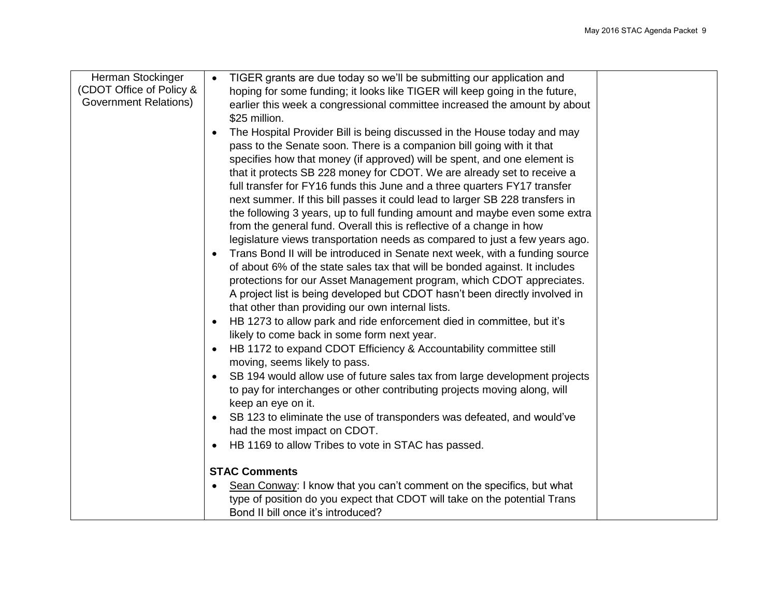| Herman Stockinger            | TIGER grants are due today so we'll be submitting our application and<br>$\bullet$    |
|------------------------------|---------------------------------------------------------------------------------------|
| (CDOT Office of Policy &     | hoping for some funding; it looks like TIGER will keep going in the future,           |
| <b>Government Relations)</b> | earlier this week a congressional committee increased the amount by about             |
|                              | \$25 million.                                                                         |
|                              | The Hospital Provider Bill is being discussed in the House today and may<br>$\bullet$ |
|                              | pass to the Senate soon. There is a companion bill going with it that                 |
|                              | specifies how that money (if approved) will be spent, and one element is              |
|                              | that it protects SB 228 money for CDOT. We are already set to receive a               |
|                              | full transfer for FY16 funds this June and a three quarters FY17 transfer             |
|                              | next summer. If this bill passes it could lead to larger SB 228 transfers in          |
|                              | the following 3 years, up to full funding amount and maybe even some extra            |
|                              | from the general fund. Overall this is reflective of a change in how                  |
|                              | legislature views transportation needs as compared to just a few years ago.           |
|                              | Trans Bond II will be introduced in Senate next week, with a funding source           |
|                              | of about 6% of the state sales tax that will be bonded against. It includes           |
|                              | protections for our Asset Management program, which CDOT appreciates.                 |
|                              | A project list is being developed but CDOT hasn't been directly involved in           |
|                              | that other than providing our own internal lists.                                     |
|                              | HB 1273 to allow park and ride enforcement died in committee, but it's                |
|                              | likely to come back in some form next year.                                           |
|                              | HB 1172 to expand CDOT Efficiency & Accountability committee still                    |
|                              | moving, seems likely to pass.                                                         |
|                              | SB 194 would allow use of future sales tax from large development projects            |
|                              | to pay for interchanges or other contributing projects moving along, will             |
|                              | keep an eye on it.                                                                    |
|                              | SB 123 to eliminate the use of transponders was defeated, and would've                |
|                              | had the most impact on CDOT.                                                          |
|                              | HB 1169 to allow Tribes to vote in STAC has passed.                                   |
|                              |                                                                                       |
|                              | <b>STAC Comments</b>                                                                  |
|                              | Sean Conway: I know that you can't comment on the specifics, but what                 |
|                              | type of position do you expect that CDOT will take on the potential Trans             |
|                              | Bond II bill once it's introduced?                                                    |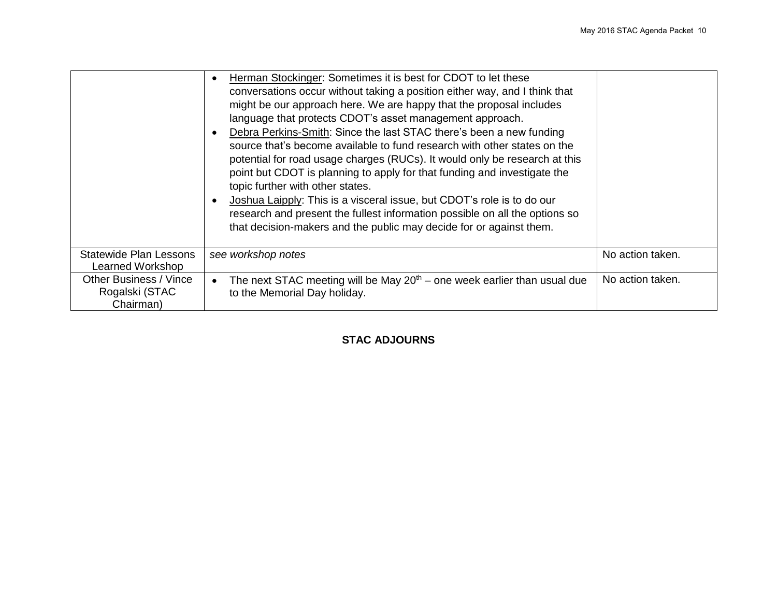|                                                       | Herman Stockinger: Sometimes it is best for CDOT to let these<br>conversations occur without taking a position either way, and I think that<br>might be our approach here. We are happy that the proposal includes<br>language that protects CDOT's asset management approach.<br>Debra Perkins-Smith: Since the last STAC there's been a new funding<br>source that's become available to fund research with other states on the<br>potential for road usage charges (RUCs). It would only be research at this<br>point but CDOT is planning to apply for that funding and investigate the<br>topic further with other states.<br>Joshua Laipply: This is a visceral issue, but CDOT's role is to do our<br>research and present the fullest information possible on all the options so<br>that decision-makers and the public may decide for or against them. |                  |
|-------------------------------------------------------|-----------------------------------------------------------------------------------------------------------------------------------------------------------------------------------------------------------------------------------------------------------------------------------------------------------------------------------------------------------------------------------------------------------------------------------------------------------------------------------------------------------------------------------------------------------------------------------------------------------------------------------------------------------------------------------------------------------------------------------------------------------------------------------------------------------------------------------------------------------------|------------------|
| <b>Statewide Plan Lessons</b><br>Learned Workshop     | see workshop notes                                                                                                                                                                                                                                                                                                                                                                                                                                                                                                                                                                                                                                                                                                                                                                                                                                              | No action taken. |
| Other Business / Vince<br>Rogalski (STAC<br>Chairman) | The next STAC meeting will be May $20th$ – one week earlier than usual due<br>to the Memorial Day holiday.                                                                                                                                                                                                                                                                                                                                                                                                                                                                                                                                                                                                                                                                                                                                                      | No action taken. |

## **STAC ADJOURNS**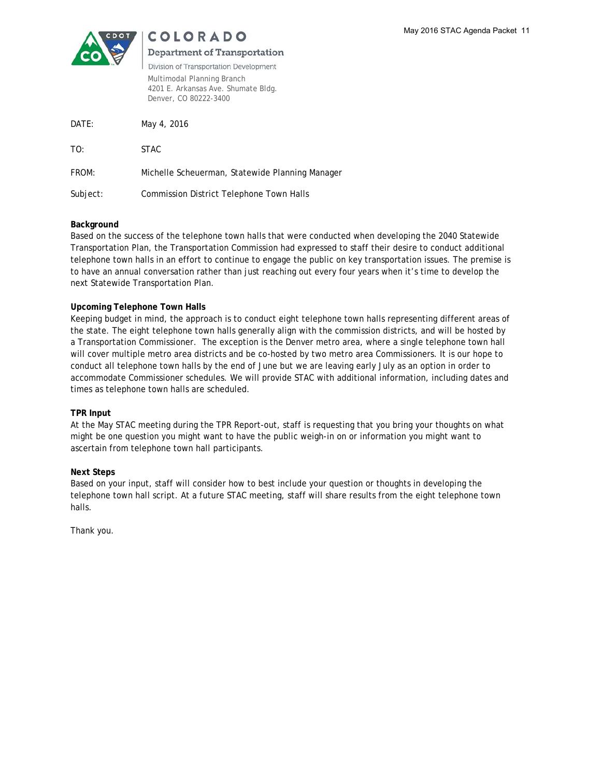

## **COLORADO**

### **Department of Transportation**

Division of Transportation Development Multimodal Planning Branch 4201 E. Arkansas Ave. Shumate Bldg. Denver, CO 80222-3400

| DATE:    | May 4, 2016                                     |
|----------|-------------------------------------------------|
| TO:      | <b>STAC</b>                                     |
| FROM:    | Michelle Scheuerman, Statewide Planning Manager |
| Subject: | <b>Commission District Telephone Town Halls</b> |

#### **Background**

Based on the success of the telephone town halls that were conducted when developing the 2040 Statewide Transportation Plan, the Transportation Commission had expressed to staff their desire to conduct additional telephone town halls in an effort to continue to engage the public on key transportation issues. The premise is to have an annual conversation rather than just reaching out every four years when it's time to develop the next Statewide Transportation Plan.

### **Upcoming Telephone Town Halls**

Keeping budget in mind, the approach is to conduct eight telephone town halls representing different areas of the state. The eight telephone town halls generally align with the commission districts, and will be hosted by a Transportation Commissioner. The exception is the Denver metro area, where a single telephone town hall will cover multiple metro area districts and be co-hosted by two metro area Commissioners. It is our hope to conduct all telephone town halls by the end of June but we are leaving early July as an option in order to accommodate Commissioner schedules. We will provide STAC with additional information, including dates and times as telephone town halls are scheduled.

#### **TPR Input**

At the May STAC meeting during the TPR Report-out, staff is requesting that you bring your thoughts on what might be one question you might want to have the public weigh-in on or information you might want to ascertain from telephone town hall participants.

#### **Next Steps**

Based on your input, staff will consider how to best include your question or thoughts in developing the telephone town hall script. At a future STAC meeting, staff will share results from the eight telephone town halls.

Thank you.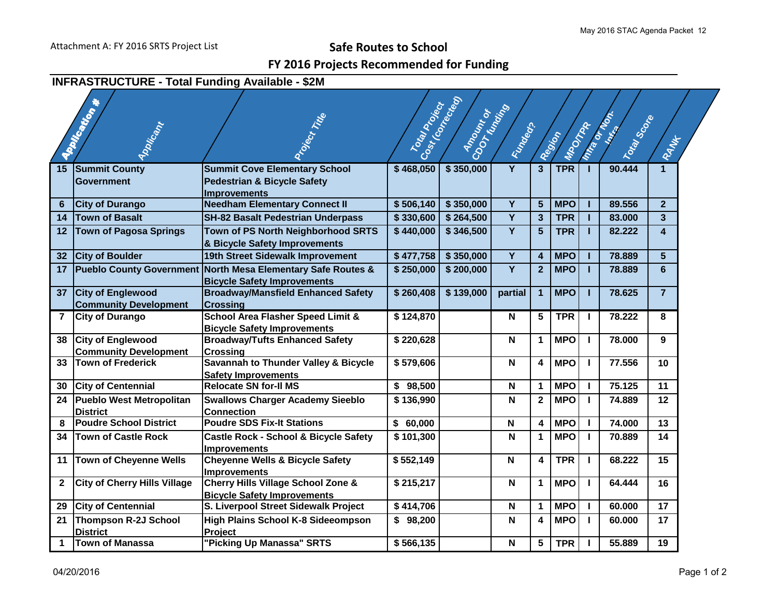## **FY 2016 Projects Recommended for Funding**

## **INFRASTRUCTURE - Total Funding Available - \$2M**

|              | <b>APPINGWAY</b>                                         | Project Title                                                                                         | Total Poet              | Cost (corrected)<br>COOT Known<br>Amount or |                |                         |                    |              | <b>Miracle Miracles</b> |                         |  |
|--------------|----------------------------------------------------------|-------------------------------------------------------------------------------------------------------|-------------------------|---------------------------------------------|----------------|-------------------------|--------------------|--------------|-------------------------|-------------------------|--|
|              | Applicant                                                |                                                                                                       |                         |                                             | Function of    |                         | MPOCITER<br>Region |              | Total Score             | RAMA                    |  |
| 15           | <b>Summit County</b><br>Government                       | <b>Summit Cove Elementary School</b><br><b>Pedestrian &amp; Bicycle Safety</b><br><b>Improvements</b> | \$468,050               | \$350,000                                   | Y              | $\overline{3}$          | <b>TPR</b>         |              | 90.444                  | $\mathbf{1}$            |  |
| 6            | <b>City of Durango</b>                                   | <b>Needham Elementary Connect II</b>                                                                  | \$506,140               | \$350,000                                   | Y              | $5\phantom{1}$          | <b>MPO</b>         |              | 89.556                  | $\overline{2}$          |  |
| 14           | <b>Town of Basalt</b>                                    | <b>SH-82 Basalt Pedestrian Underpass</b>                                                              | \$330,600               | \$264,500                                   | $\overline{Y}$ | $\mathbf{3}$            | <b>TPR</b>         |              | 83.000                  | $\overline{\mathbf{3}}$ |  |
| 12           | <b>Town of Pagosa Springs</b>                            | Town of PS North Neighborhood SRTS<br>& Bicycle Safety Improvements                                   | \$440,000               | \$346,500                                   | Y              | 5                       | <b>TPR</b>         |              | 82.222                  | $\overline{\mathbf{4}}$ |  |
| 32           | <b>City of Boulder</b>                                   | 19th Street Sidewalk Improvement                                                                      | \$477,758               | \$350,000                                   | $\overline{Y}$ | $\overline{4}$          | <b>MPO</b>         |              | 78.889                  | 5 <sup>5</sup>          |  |
| 17           |                                                          | Pueblo County Government North Mesa Elementary Safe Routes &<br><b>Bicycle Safety Improvements</b>    | \$250,000               | \$200,000                                   | $\overline{Y}$ | $\overline{2}$          | <b>MPO</b>         | т.           | 78.889                  | $6\phantom{a}$          |  |
| 37           | <b>City of Englewood</b><br><b>Community Development</b> | <b>Broadway/Mansfield Enhanced Safety</b><br><b>Crossing</b>                                          | \$260,408               | \$139,000                                   | partial        | $\overline{1}$          | <b>MPO</b>         |              | 78.625                  | $\overline{7}$          |  |
| 7            | <b>City of Durango</b>                                   | <b>School Area Flasher Speed Limit &amp;</b><br><b>Bicycle Safety Improvements</b>                    | \$124,870               |                                             | N              | 5                       | <b>TPR</b>         | $\mathbf{I}$ | 78.222                  | 8                       |  |
| 38           | <b>City of Englewood</b><br><b>Community Development</b> | <b>Broadway/Tufts Enhanced Safety</b><br><b>Crossing</b>                                              | \$220,628               |                                             | N              | $\mathbf{1}$            | <b>MPO</b>         | $\mathbf{L}$ | 78,000                  | $9^{\circ}$             |  |
| 33           | <b>Town of Frederick</b>                                 | <b>Savannah to Thunder Valley &amp; Bicycle</b><br><b>Safety Improvements</b>                         | \$579,606               |                                             | N              | 4                       | <b>MPO</b>         | $\mathbf{I}$ | 77.556                  | 10                      |  |
| 30           | <b>City of Centennial</b>                                | <b>Relocate SN for-II MS</b>                                                                          | \$98,500                |                                             | $\mathbf N$    | $\mathbf 1$             | <b>MPO</b>         |              | 75.125                  | 11                      |  |
| 24           | <b>Pueblo West Metropolitan</b><br><b>District</b>       | <b>Swallows Charger Academy Sieeblo</b><br><b>Connection</b>                                          | \$136,990               |                                             | N              | $\overline{2}$          | <b>MPO</b>         | L.           | 74.889                  | 12                      |  |
| 8            | <b>Poudre School District</b>                            | <b>Poudre SDS Fix-It Stations</b>                                                                     | \$60,000                |                                             | N              | $\overline{\mathbf{4}}$ | <b>MPO</b>         |              | 74.000                  | 13                      |  |
| 34           | <b>Town of Castle Rock</b>                               | <b>Castle Rock - School &amp; Bicycle Safety</b><br><b>Improvements</b>                               | \$101,300               |                                             | N              | $\mathbf{1}$            | <b>MPO</b>         | Τ.           | 70.889                  | 14                      |  |
| 11           | <b>Town of Cheyenne Wells</b>                            | <b>Cheyenne Wells &amp; Bicycle Safety</b><br><b>Improvements</b>                                     | $\overline{\$}$ 552,149 |                                             | N              | $\overline{\mathbf{4}}$ | <b>TPR</b>         | L.           | 68.222                  | 15                      |  |
| $\mathbf{2}$ | <b>City of Cherry Hills Village</b>                      | Cherry Hills Village School Zone &<br><b>Bicycle Safety Improvements</b>                              | \$215,217               |                                             | N              | $\mathbf{1}$            | <b>MPO</b>         | I.           | 64.444                  | 16                      |  |
| 29           | <b>City of Centennial</b>                                | S. Liverpool Street Sidewalk Project                                                                  | \$414,706               |                                             | $\mathsf{N}$   | $\mathbf{1}$            | <b>MPO</b>         | $\mathbf{I}$ | 60.000                  | 17                      |  |
| 21           | <b>Thompson R-2J School</b><br><b>District</b>           | High Plains School K-8 Sideeompson<br>Project                                                         | \$98,200                |                                             | N              | 4                       | <b>MPO</b>         |              | 60,000                  | 17                      |  |
| $\mathbf{1}$ | <b>Town of Manassa</b>                                   | "Picking Up Manassa" SRTS                                                                             | \$566,135               |                                             | N              | 5                       | <b>TPR</b>         |              | 55.889                  | 19                      |  |